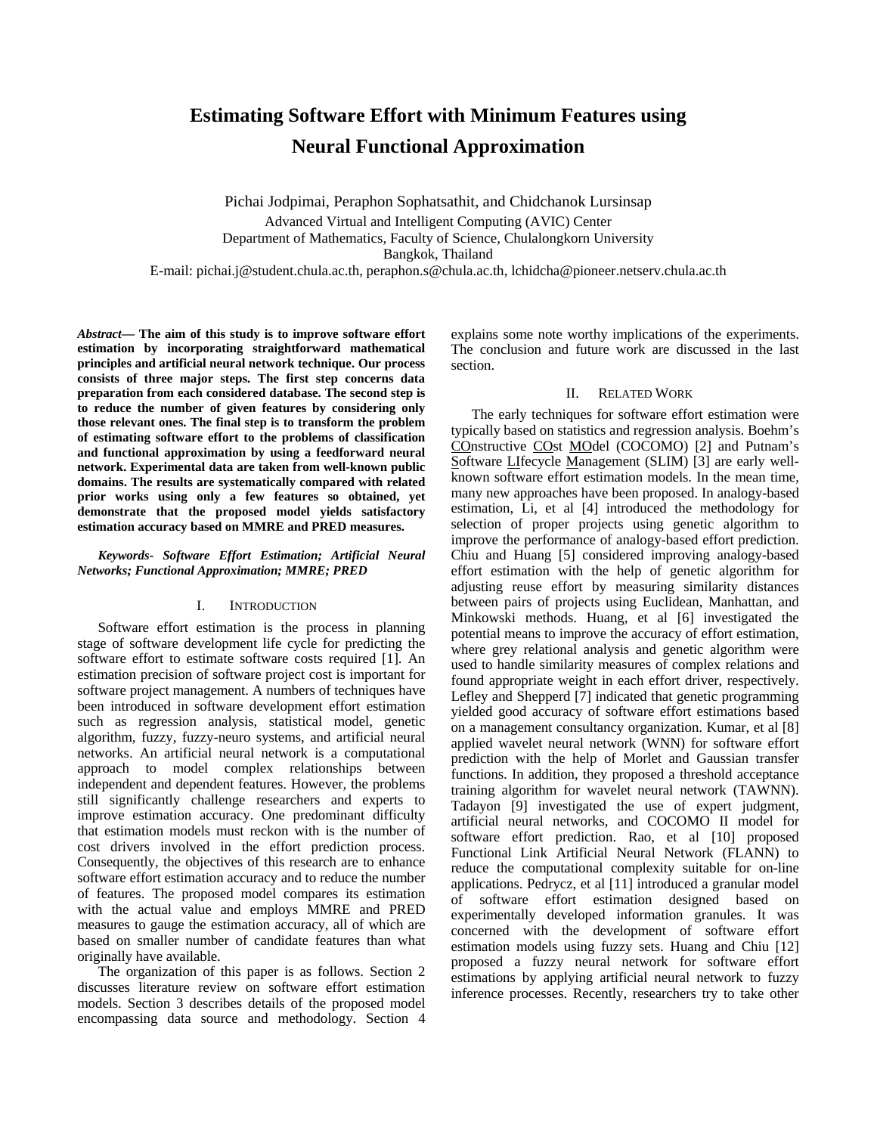# **Estimating Software Effort with Minimum Features using Neural Functional Approximation**

Pichai Jodpimai, Peraphon Sophatsathit, and Chidchanok Lursinsap Advanced Virtual and Intelligent Computing (AVIC) Center Department of Mathematics, Faculty of Science, Chulalongkorn University Bangkok, Thailand

E-mail: pichai.j@student.chula.ac.th, peraphon.s@chula.ac.th, lchidcha@pioneer.netserv.chula.ac.th

*Abstract***— The aim of this study is to improve software effort estimation by incorporating straightforward mathematical principles and artificial neural network technique. Our process consists of three major steps. The first step concerns data preparation from each considered database. The second step is to reduce the number of given features by considering only those relevant ones. The final step is to transform the problem of estimating software effort to the problems of classification and functional approximation by using a feedforward neural network. Experimental data are taken from well-known public domains. The results are systematically compared with related prior works using only a few features so obtained, yet demonstrate that the proposed model yields satisfactory estimation accuracy based on MMRE and PRED measures.** 

*Keywords- Software Effort Estimation; Artificial Neural Networks; Functional Approximation; MMRE; PRED* 

# I. INTRODUCTION

Software effort estimation is the process in planning stage of software development life cycle for predicting the software effort to estimate software costs required [1]. An estimation precision of software project cost is important for software project management. A numbers of techniques have been introduced in software development effort estimation such as regression analysis, statistical model, genetic algorithm, fuzzy, fuzzy-neuro systems, and artificial neural networks. An artificial neural network is a computational approach to model complex relationships between independent and dependent features. However, the problems still significantly challenge researchers and experts to improve estimation accuracy. One predominant difficulty that estimation models must reckon with is the number of cost drivers involved in the effort prediction process. Consequently, the objectives of this research are to enhance software effort estimation accuracy and to reduce the number of features. The proposed model compares its estimation with the actual value and employs MMRE and PRED measures to gauge the estimation accuracy, all of which are based on smaller number of candidate features than what originally have available.

The organization of this paper is as follows. Section 2 discusses literature review on software effort estimation models. Section 3 describes details of the proposed model encompassing data source and methodology. Section 4 explains some note worthy implications of the experiments. The conclusion and future work are discussed in the last section.

# II. RELATED WORK

The early techniques for software effort estimation were typically based on statistics and regression analysis. Boehm's COnstructive COst MOdel (COCOMO) [2] and Putnam's Software LIfecycle Management (SLIM) [3] are early wellknown software effort estimation models. In the mean time, many new approaches have been proposed. In analogy-based estimation, Li, et al [4] introduced the methodology for selection of proper projects using genetic algorithm to improve the performance of analogy-based effort prediction. Chiu and Huang [5] considered improving analogy-based effort estimation with the help of genetic algorithm for adjusting reuse effort by measuring similarity distances between pairs of projects using Euclidean, Manhattan, and Minkowski methods. Huang, et al [6] investigated the potential means to improve the accuracy of effort estimation, where grey relational analysis and genetic algorithm were used to handle similarity measures of complex relations and found appropriate weight in each effort driver, respectively. Lefley and Shepperd [7] indicated that genetic programming yielded good accuracy of software effort estimations based on a management consultancy organization. Kumar, et al [8] applied wavelet neural network (WNN) for software effort prediction with the help of Morlet and Gaussian transfer functions. In addition, they proposed a threshold acceptance training algorithm for wavelet neural network (TAWNN). Tadayon [9] investigated the use of expert judgment, artificial neural networks, and COCOMO II model for software effort prediction. Rao, et al [10] proposed Functional Link Artificial Neural Network (FLANN) to reduce the computational complexity suitable for on-line applications. Pedrycz, et al [11] introduced a granular model of software effort estimation designed based on experimentally developed information granules. It was concerned with the development of software effort estimation models using fuzzy sets. Huang and Chiu [12] proposed a fuzzy neural network for software effort estimations by applying artificial neural network to fuzzy inference processes. Recently, researchers try to take other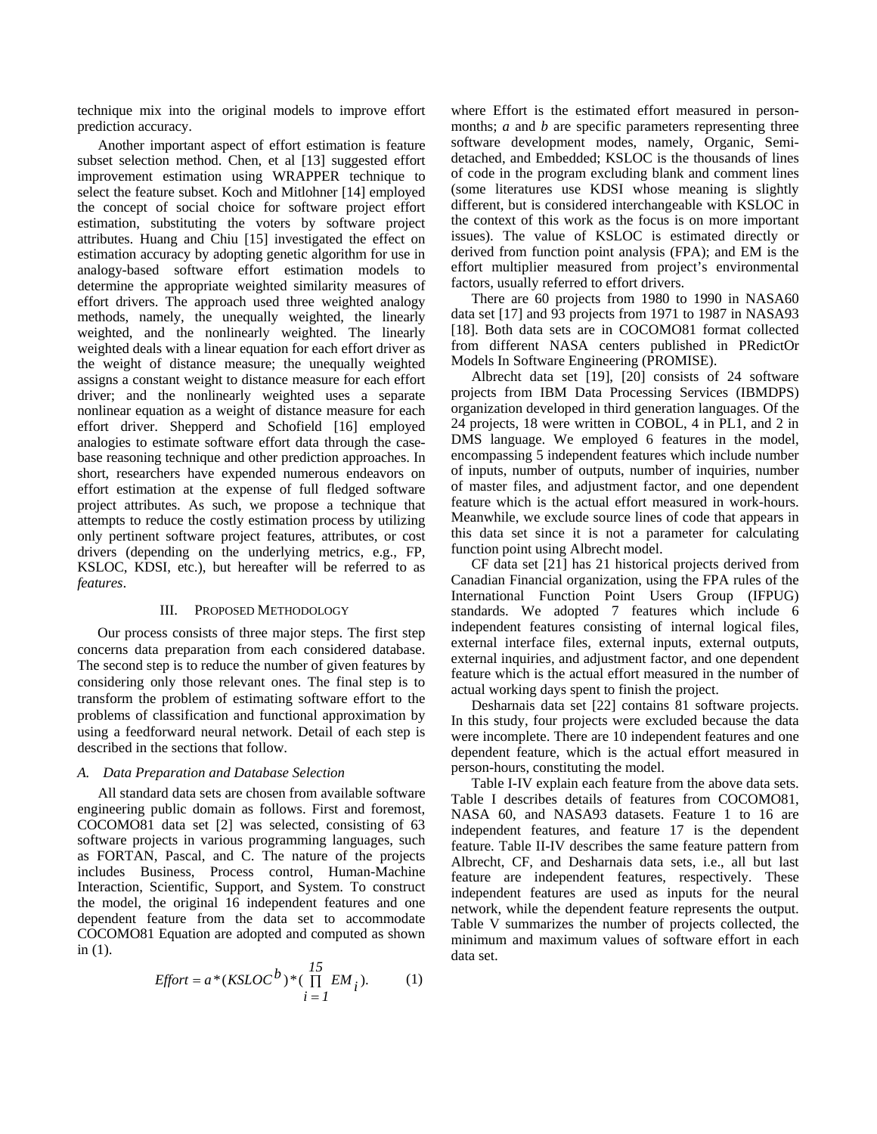technique mix into the original models to improve effort prediction accuracy.

Another important aspect of effort estimation is feature subset selection method. Chen, et al [13] suggested effort improvement estimation using WRAPPER technique to select the feature subset. Koch and Mitlohner [14] employed the concept of social choice for software project effort estimation, substituting the voters by software project attributes. Huang and Chiu [15] investigated the effect on estimation accuracy by adopting genetic algorithm for use in analogy-based software effort estimation models to determine the appropriate weighted similarity measures of effort drivers. The approach used three weighted analogy methods, namely, the unequally weighted, the linearly weighted, and the nonlinearly weighted. The linearly weighted deals with a linear equation for each effort driver as the weight of distance measure; the unequally weighted assigns a constant weight to distance measure for each effort driver; and the nonlinearly weighted uses a separate nonlinear equation as a weight of distance measure for each effort driver. Shepperd and Schofield [16] employed analogies to estimate software effort data through the casebase reasoning technique and other prediction approaches. In short, researchers have expended numerous endeavors on effort estimation at the expense of full fledged software project attributes. As such, we propose a technique that attempts to reduce the costly estimation process by utilizing only pertinent software project features, attributes, or cost drivers (depending on the underlying metrics, e.g., FP, KSLOC, KDSI, etc.), but hereafter will be referred to as *features*.

## III. PROPOSED METHODOLOGY

Our process consists of three major steps. The first step concerns data preparation from each considered database. The second step is to reduce the number of given features by considering only those relevant ones. The final step is to transform the problem of estimating software effort to the problems of classification and functional approximation by using a feedforward neural network. Detail of each step is described in the sections that follow.

## *A. Data Preparation and Database Selection*

All standard data sets are chosen from available software engineering public domain as follows. First and foremost, COCOMO81 data set [2] was selected, consisting of 63 software projects in various programming languages, such as FORTAN, Pascal, and C. The nature of the projects includes Business, Process control, Human-Machine Interaction, Scientific, Support, and System. To construct the model, the original 16 independent features and one dependent feature from the data set to accommodate COCOMO81 Equation are adopted and computed as shown in (1).

$$
Effort = a * (KSLOC^b) * (\prod_{i=1}^{15} EM_i).
$$
 (1)

where Effort is the estimated effort measured in personmonths; *a* and *b* are specific parameters representing three software development modes, namely, Organic, Semidetached, and Embedded; KSLOC is the thousands of lines of code in the program excluding blank and comment lines (some literatures use KDSI whose meaning is slightly different, but is considered interchangeable with KSLOC in the context of this work as the focus is on more important issues). The value of KSLOC is estimated directly or derived from function point analysis (FPA); and EM is the effort multiplier measured from project's environmental factors, usually referred to effort drivers.

There are 60 projects from 1980 to 1990 in NASA60 data set [17] and 93 projects from 1971 to 1987 in NASA93 [18]. Both data sets are in COCOMO81 format collected from different NASA centers published in PRedictOr Models In Software Engineering (PROMISE).

Albrecht data set [19], [20] consists of 24 software projects from IBM Data Processing Services (IBMDPS) organization developed in third generation languages. Of the 24 projects, 18 were written in COBOL, 4 in PL1, and 2 in DMS language. We employed 6 features in the model, encompassing 5 independent features which include number of inputs, number of outputs, number of inquiries, number of master files, and adjustment factor, and one dependent feature which is the actual effort measured in work-hours. Meanwhile, we exclude source lines of code that appears in this data set since it is not a parameter for calculating function point using Albrecht model.

CF data set [21] has 21 historical projects derived from Canadian Financial organization, using the FPA rules of the International Function Point Users Group (IFPUG) standards. We adopted 7 features which include 6 independent features consisting of internal logical files, external interface files, external inputs, external outputs, external inquiries, and adjustment factor, and one dependent feature which is the actual effort measured in the number of actual working days spent to finish the project.

Desharnais data set [22] contains 81 software projects. In this study, four projects were excluded because the data were incomplete. There are 10 independent features and one dependent feature, which is the actual effort measured in person-hours, constituting the model.

Table I-IV explain each feature from the above data sets. Table I describes details of features from COCOMO81, NASA 60, and NASA93 datasets. Feature 1 to 16 are independent features, and feature 17 is the dependent feature. Table II-IV describes the same feature pattern from Albrecht, CF, and Desharnais data sets, i.e., all but last feature are independent features, respectively. These independent features are used as inputs for the neural network, while the dependent feature represents the output. Table V summarizes the number of projects collected, the minimum and maximum values of software effort in each data set.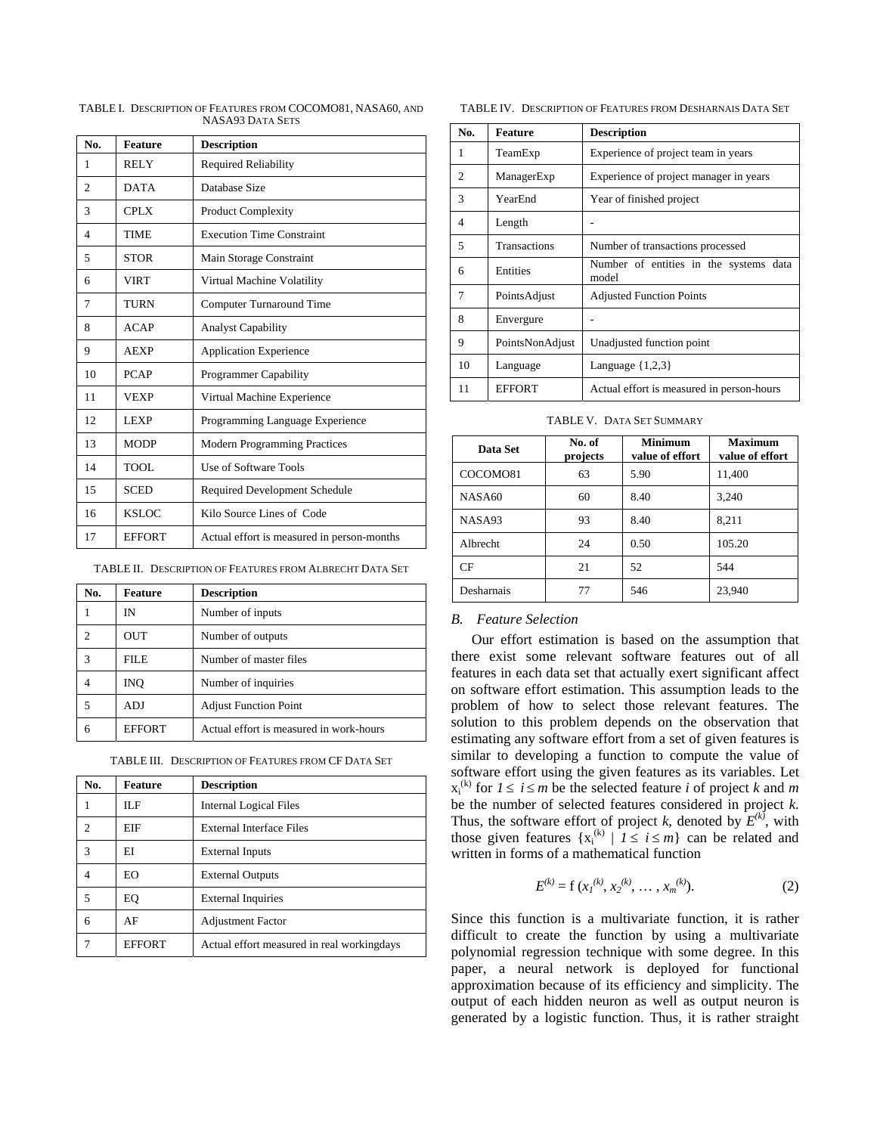| No.            | <b>Feature</b> | <b>Description</b>                         |
|----------------|----------------|--------------------------------------------|
| 1              | <b>RELY</b>    | <b>Required Reliability</b>                |
| $\overline{c}$ | <b>DATA</b>    | Database Size                              |
| 3              | <b>CPLX</b>    | <b>Product Complexity</b>                  |
| 4              | <b>TIME</b>    | <b>Execution Time Constraint</b>           |
| 5              | <b>STOR</b>    | Main Storage Constraint                    |
| 6              | <b>VIRT</b>    | Virtual Machine Volatility                 |
| 7              | <b>TURN</b>    | Computer Turnaround Time                   |
| 8              | <b>ACAP</b>    | <b>Analyst Capability</b>                  |
| 9              | <b>AEXP</b>    | <b>Application Experience</b>              |
| 10             | <b>PCAP</b>    | <b>Programmer Capability</b>               |
| 11             | VEXP           | Virtual Machine Experience                 |
| 12             | <b>LEXP</b>    | Programming Language Experience            |
| 13             | <b>MODP</b>    | <b>Modern Programming Practices</b>        |
| 14             | TOOL           | Use of Software Tools                      |
| 15             | <b>SCED</b>    | Required Development Schedule              |
| 16             | <b>KSLOC</b>   | Kilo Source Lines of Code                  |
| 17             | <b>EFFORT</b>  | Actual effort is measured in person-months |

TABLE I. DESCRIPTION OF FEATURES FROM COCOMO81, NASA60, AND NASA93 DATA SETS

TABLE II. DESCRIPTION OF FEATURES FROM ALBRECHT DATA SET

| No. | Feature       | <b>Description</b>                      |
|-----|---------------|-----------------------------------------|
|     | IN            | Number of inputs                        |
| 2   | <b>OUT</b>    | Number of outputs                       |
| 3   | <b>FILE</b>   | Number of master files                  |
|     | INO.          | Number of inquiries                     |
| 5   | ADJ           | <b>Adjust Function Point</b>            |
| 6   | <b>EFFORT</b> | Actual effort is measured in work-hours |

| TABLE III. DESCRIPTION OF FEATURES FROM CF DATA SET |  |  |
|-----------------------------------------------------|--|--|
|-----------------------------------------------------|--|--|

| No. | <b>Feature</b> | <b>Description</b>                         |
|-----|----------------|--------------------------------------------|
| 1   | ILF            | <b>Internal Logical Files</b>              |
| 2   | EIF            | External Interface Files                   |
| 3   | EI             | <b>External Inputs</b>                     |
| 4   | EO.            | <b>External Outputs</b>                    |
| 5   | EQ             | <b>External Inquiries</b>                  |
| 6   | AF             | <b>Adjustment Factor</b>                   |
|     | <b>EFFORT</b>  | Actual effort measured in real workingdays |

TABLE IV. DESCRIPTION OF FEATURES FROM DESHARNAIS DATA SET

| No.                      | <b>Feature</b>      | <b>Description</b>                              |
|--------------------------|---------------------|-------------------------------------------------|
| 1                        | TeamExp             | Experience of project team in years             |
| 2                        | ManagerExp          | Experience of project manager in years          |
| 3                        | YearEnd             | Year of finished project                        |
| $\overline{\mathcal{A}}$ | Length              |                                                 |
| 5                        | <b>Transactions</b> | Number of transactions processed                |
| 6                        | Entities            | Number of entities in the systems data<br>model |
| 7                        | PointsAdjust        | <b>Adjusted Function Points</b>                 |
| 8                        | Envergure           |                                                 |
| 9                        | PointsNonAdjust     | Unadjusted function point                       |
| 10                       | Language            | Language $\{1,2,3\}$                            |
| 11                       | <b>EFFORT</b>       | Actual effort is measured in person-hours       |

TABLE V. DATA SET SUMMARY

| Data Set   | No. of<br>projects | <b>Minimum</b><br>value of effort | <b>Maximum</b><br>value of effort |
|------------|--------------------|-----------------------------------|-----------------------------------|
| COCOMO81   | 63                 | 5.90                              | 11,400                            |
| NASA60     | 60                 | 8.40                              | 3,240                             |
| NASA93     | 93                 | 8.40                              | 8,211                             |
| Albrecht   | 24                 | 0.50                              | 105.20                            |
| CF         | 21                 | 52                                | 544                               |
| Desharnais | 77                 | 546                               | 23,940                            |

# *B. Feature Selection*

Our effort estimation is based on the assumption that there exist some relevant software features out of all features in each data set that actually exert significant affect on software effort estimation. This assumption leads to the problem of how to select those relevant features. The solution to this problem depends on the observation that estimating any software effort from a set of given features is similar to developing a function to compute the value of software effort using the given features as its variables. Let  $x_i^{(k)}$  for  $1 \le i \le m$  be the selected feature *i* of project *k* and *m* be the number of selected features considered in project *k*. Thus, the software effort of project *k*, denoted by  $E^{(k)}$ , with those given features  $\{x_i^{(k)} | 1 \le i \le m\}$  can be related and written in forms of a mathematical function

$$
E^{(k)} = f(x_1^{(k)}, x_2^{(k)}, \dots, x_m^{(k)}).
$$
 (2)

Since this function is a multivariate function, it is rather difficult to create the function by using a multivariate polynomial regression technique with some degree. In this paper, a neural network is deployed for functional approximation because of its efficiency and simplicity. The output of each hidden neuron as well as output neuron is generated by a logistic function. Thus, it is rather straight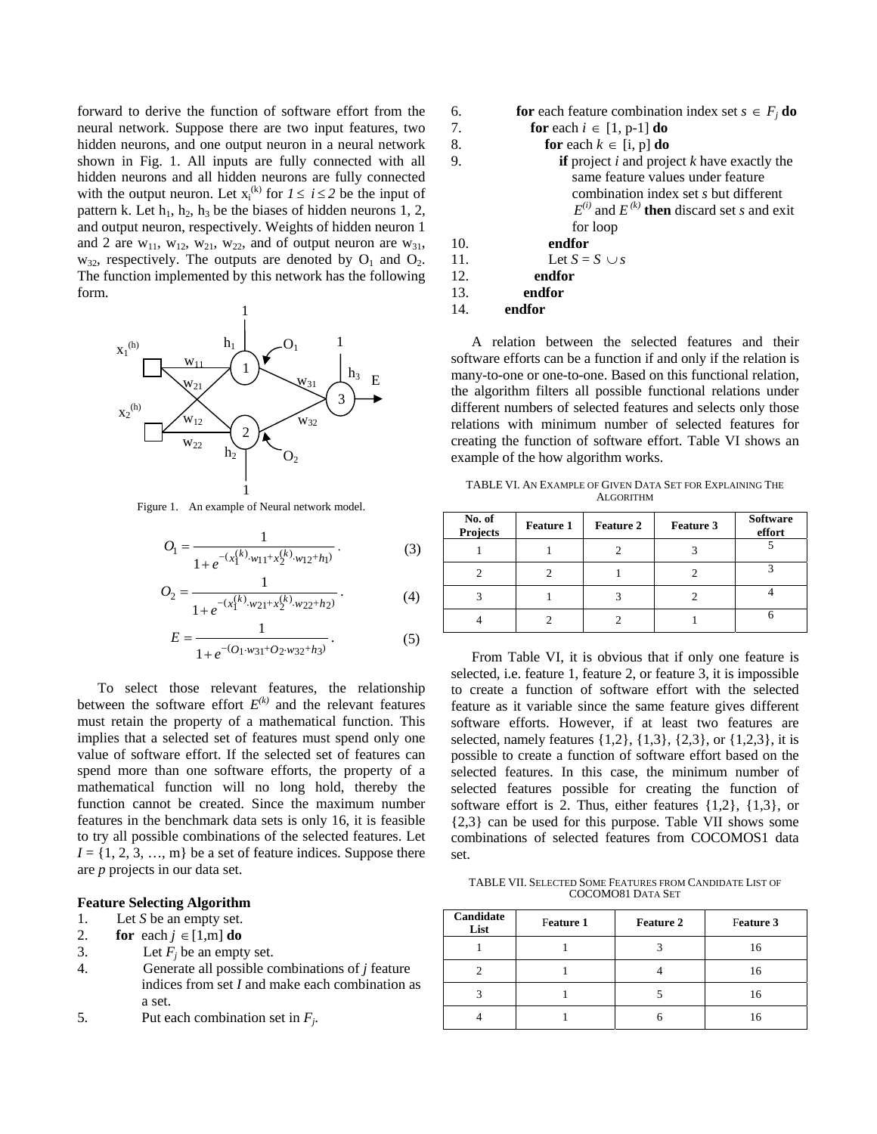forward to derive the function of software effort from the neural network. Suppose there are two input features, two hidden neurons, and one output neuron in a neural network shown in Fig. 1. All inputs are fully connected with all hidden neurons and all hidden neurons are fully connected with the output neuron. Let  $x_i^{(k)}$  for  $1 \le i \le 2$  be the input of pattern k. Let  $h_1$ ,  $h_2$ ,  $h_3$  be the biases of hidden neurons 1, 2, and output neuron, respectively. Weights of hidden neuron 1 and 2 are  $w_{11}$ ,  $w_{12}$ ,  $w_{21}$ ,  $w_{22}$ , and of output neuron are  $w_{31}$ ,  $w_{32}$ , respectively. The outputs are denoted by  $O_1$  and  $O_2$ . The function implemented by this network has the following form.



Figure 1. An example of Neural network model.

$$
O_{1} = \frac{1}{1 + e^{-(x_{1}^{(k)} \cdot w_{11} + x_{2}^{(k)} \cdot w_{12} + h_{1})}}.
$$
 (3)

$$
O_2 = \frac{1}{1 + e^{-(x_1^{(k)} \cdot w_{21} + x_2^{(k)} \cdot w_{22} + h_2)}}.
$$
 (4)

$$
E = \frac{1}{1 + e^{-(O_1 \cdot w_{31} + O_2 \cdot w_{32} + h_3)}}.
$$
 (5)

To select those relevant features, the relationship between the software effort  $E^{(k)}$  and the relevant features must retain the property of a mathematical function. This implies that a selected set of features must spend only one value of software effort. If the selected set of features can spend more than one software efforts, the property of a mathematical function will no long hold, thereby the function cannot be created. Since the maximum number features in the benchmark data sets is only 16, it is feasible to try all possible combinations of the selected features. Let  $I = \{1, 2, 3, \ldots, m\}$  be a set of feature indices. Suppose there are *p* projects in our data set.

### **Feature Selecting Algorithm**

# 1. Let *S* be an empty set.

- 2. **for** each  $j \in [1,m]$  **do**
- 3. Let  $F_i$  be an empty set.
- 4. Generate all possible combinations of *j* feature indices from set *I* and make each combination as a set.
- 5. Put each combination set in *Fj*.

\n- 6. **for** each feature combination index set 
$$
s \in F_j
$$
 do
\n- 7. **for** each  $i \in [1, p-1]$  do
\n- 8. **for** each  $k \in [i, p]$  do
\n- 9. **if** project  $i$  and project  $k$  have exactly the same feature values under feature combination index set  $s$  but different  $E^{(i)}$  and  $E^{(k)}$  then discard set  $s$  and exit for loop
\n- 10. **endfor**
\n- 11. Let  $S = S \cup s$
\n- 12. **endfor**
\n- 13. **endfor**
\n

14. **endfor** 

A relation between the selected features and their software efforts can be a function if and only if the relation is many-to-one or one-to-one. Based on this functional relation, the algorithm filters all possible functional relations under different numbers of selected features and selects only those relations with minimum number of selected features for creating the function of software effort. Table VI shows an example of the how algorithm works.

TABLE VI. AN EXAMPLE OF GIVEN DATA SET FOR EXPLAINING THE ALGORITHM

| No. of<br><b>Projects</b> | <b>Feature 1</b> | <b>Feature 2</b> | <b>Feature 3</b> | <b>Software</b><br>effort |
|---------------------------|------------------|------------------|------------------|---------------------------|
|                           |                  |                  |                  |                           |
|                           |                  |                  |                  |                           |
|                           |                  |                  |                  |                           |
|                           |                  |                  |                  |                           |

From Table VI, it is obvious that if only one feature is selected, i.e. feature 1, feature 2, or feature 3, it is impossible to create a function of software effort with the selected feature as it variable since the same feature gives different software efforts. However, if at least two features are selected, namely features {1,2}, {1,3}, {2,3}, or {1,2,3}, it is possible to create a function of software effort based on the selected features. In this case, the minimum number of selected features possible for creating the function of software effort is 2. Thus, either features {1,2}, {1,3}, or {2,3} can be used for this purpose. Table VII shows some combinations of selected features from COCOMOS1 data set.

TABLE VII. SELECTED SOME FEATURES FROM CANDIDATE LIST OF COCOMO81 DATA SET

| Candidate<br>List | Feature 1 |  | Feature 3 |  |
|-------------------|-----------|--|-----------|--|
|                   |           |  | 16        |  |
|                   |           |  | 16        |  |
|                   |           |  | 16        |  |
|                   |           |  |           |  |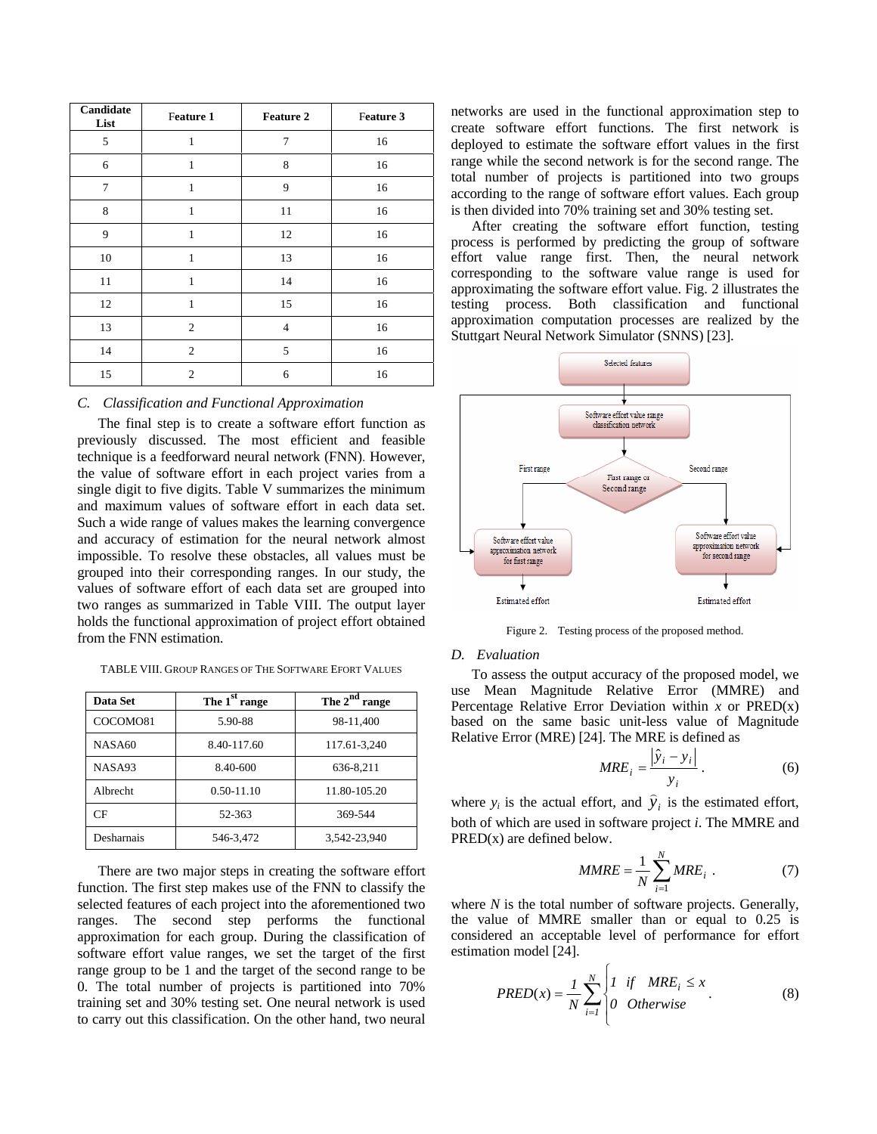| Candidate<br>List | Feature 1      | <b>Feature 2</b> | Feature 3 |
|-------------------|----------------|------------------|-----------|
| 5                 | $\mathbf{1}$   | 7                | 16        |
| 6                 | $\mathbf{1}$   | 8                | 16        |
| 7                 | $\mathbf{1}$   | 9                | 16        |
| 8                 | $\mathbf{1}$   | 11               | 16        |
| 9                 | $\mathbf{1}$   | 12               | 16        |
| 10                | $\mathbf{1}$   | 13               | 16        |
| 11                | $\mathbf{1}$   | 14               | 16        |
| 12                | $\mathbf{1}$   | 15               | 16        |
| 13                | $\mathfrak{2}$ | $\overline{4}$   | 16        |
| 14                | $\mathfrak{2}$ | 5                | 16        |
| 15                | $\overline{2}$ | 6                | 16        |

# *C. Classification and Functional Approximation*

The final step is to create a software effort function as previously discussed. The most efficient and feasible technique is a feedforward neural network (FNN). However, the value of software effort in each project varies from a single digit to five digits. Table V summarizes the minimum and maximum values of software effort in each data set. Such a wide range of values makes the learning convergence and accuracy of estimation for the neural network almost impossible. To resolve these obstacles, all values must be grouped into their corresponding ranges. In our study, the values of software effort of each data set are grouped into two ranges as summarized in Table VIII. The output layer holds the functional approximation of project effort obtained from the FNN estimation.

TABLE VIII. GROUP RANGES OF THE SOFTWARE EFORT VALUES

| Data Set   | The 1 <sup>st</sup> range | The $2^{nd}$ range |
|------------|---------------------------|--------------------|
| COCOMO81   | 5.90-88                   | 98-11,400          |
| NASA60     | 8.40-117.60               | 117.61-3,240       |
| NASA93     | 8.40-600                  | 636-8,211          |
| Albrecht   | $0.50 - 11.10$            | 11.80-105.20       |
| CF         | 52-363                    | 369-544            |
| Desharnais | 546-3,472                 | 3,542-23,940       |

There are two major steps in creating the software effort function. The first step makes use of the FNN to classify the selected features of each project into the aforementioned two ranges. The second step performs the functional approximation for each group. During the classification of software effort value ranges, we set the target of the first range group to be 1 and the target of the second range to be 0. The total number of projects is partitioned into 70% training set and 30% testing set. One neural network is used to carry out this classification. On the other hand, two neural networks are used in the functional approximation step to create software effort functions. The first network is deployed to estimate the software effort values in the first range while the second network is for the second range. The total number of projects is partitioned into two groups according to the range of software effort values. Each group is then divided into 70% training set and 30% testing set.

After creating the software effort function, testing process is performed by predicting the group of software effort value range first. Then, the neural network corresponding to the software value range is used for approximating the software effort value. Fig. 2 illustrates the testing process. Both classification and functional approximation computation processes are realized by the Stuttgart Neural Network Simulator (SNNS) [23].



Figure 2. Testing process of the proposed method.

### *D. Evaluation*

To assess the output accuracy of the proposed model, we use Mean Magnitude Relative Error (MMRE) and Percentage Relative Error Deviation within *x* or PRED(x) based on the same basic unit-less value of Magnitude Relative Error (MRE) [24]. The MRE is defined as

$$
MRE_i = \frac{\left|\hat{y}_i - y_i\right|}{y_i} \,. \tag{6}
$$

where  $y_i$  is the actual effort, and  $\hat{y}_i$  is the estimated effort, both of which are used in software project *i*. The MMRE and PRED(x) are defined below.

$$
MMRE = \frac{1}{N} \sum_{i=1}^{N} MRE_i . \qquad (7)
$$

where *N* is the total number of software projects. Generally, the value of MMRE smaller than or equal to 0.25 is considered an acceptable level of performance for effort estimation model [24].

$$
PRED(x) = \frac{1}{N} \sum_{i=1}^{N} \begin{cases} 1 & \text{if} \quad MRE_i \le x \\ 0 & \text{Otherwise} \end{cases}
$$
 (8)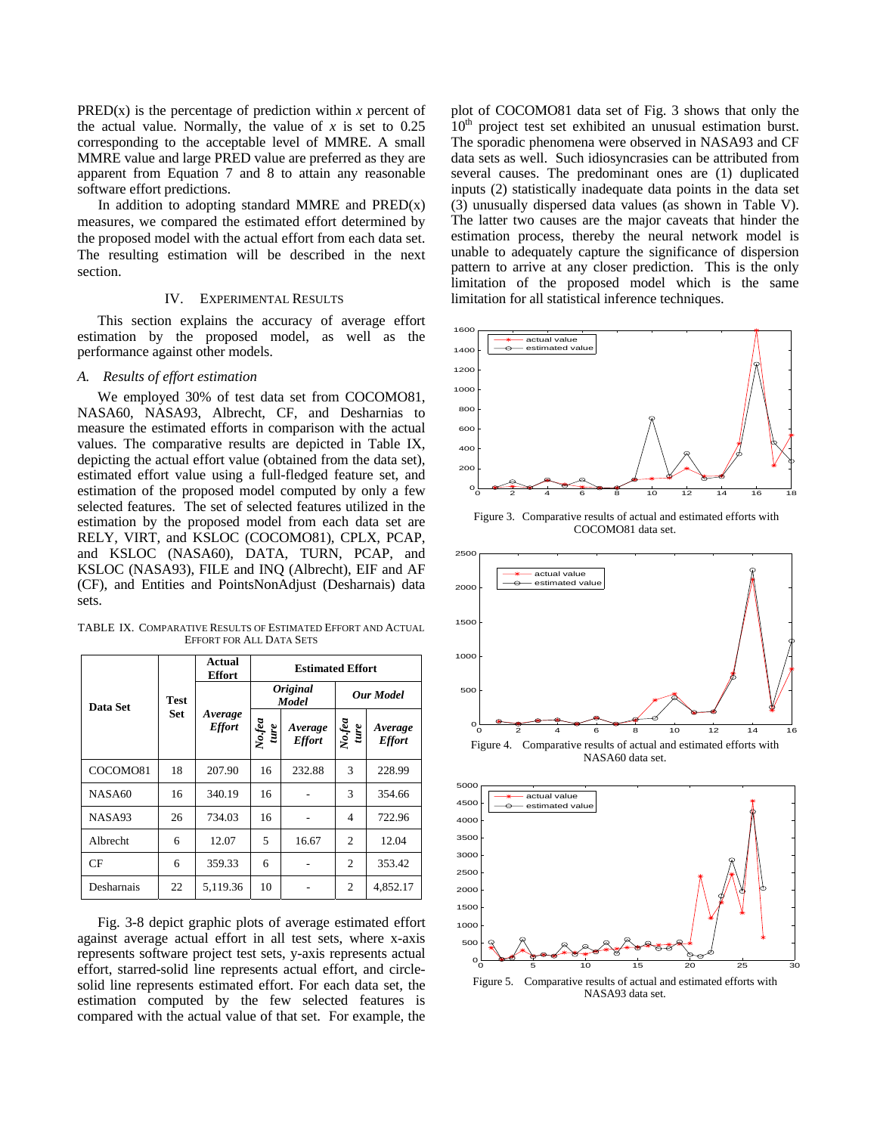PRED(x) is the percentage of prediction within  $x$  percent of the actual value. Normally, the value of  $x$  is set to 0.25 corresponding to the acceptable level of MMRE. A small MMRE value and large PRED value are preferred as they are apparent from Equation 7 and 8 to attain any reasonable software effort predictions.

In addition to adopting standard MMRE and  $PRED(x)$ measures, we compared the estimated effort determined by the proposed model with the actual effort from each data set. The resulting estimation will be described in the next section.

# IV. EXPERIMENTAL RESULTS

This section explains the accuracy of average effort estimation by the proposed model, as well as the performance against other models.

## *A. Results of effort estimation*

We employed 30% of test data set from COCOMO81, NASA60, NASA93, Albrecht, CF, and Desharnias to measure the estimated efforts in comparison with the actual values. The comparative results are depicted in Table IX, depicting the actual effort value (obtained from the data set), estimated effort value using a full-fledged feature set, and estimation of the proposed model computed by only a few selected features. The set of selected features utilized in the estimation by the proposed model from each data set are RELY, VIRT, and KSLOC (COCOMO81), CPLX, PCAP, and KSLOC (NASA60), DATA, TURN, PCAP, and KSLOC (NASA93), FILE and INQ (Albrecht), EIF and AF (CF), and Entities and PointsNonAdjust (Desharnais) data sets.

TABLE IX. COMPARATIVE RESULTS OF ESTIMATED EFFORT AND ACTUAL EFFORT FOR ALL DATA SETS

|            |             | Actual<br>Effort         | <b>Estimated Effort</b>         |                          |                             |                          |
|------------|-------------|--------------------------|---------------------------------|--------------------------|-----------------------------|--------------------------|
| Data Set   | <b>Test</b> | Average<br><b>Effort</b> | <i><b>Original</b></i><br>Model |                          | <b>Our Model</b>            |                          |
|            | <b>Set</b>  |                          | $N$ o.fea<br>ture               | Average<br><b>Effort</b> | No.fea<br>ture              | Average<br><b>Effort</b> |
| COCOMO81   | 18          | 207.90                   | 16                              | 232.88                   | 3                           | 228.99                   |
| NASA60     | 16          | 340.19                   | 16                              |                          | 3                           | 354.66                   |
| NASA93     | 26          | 734.03                   | 16                              |                          | 4                           | 722.96                   |
| Albrecht   | 6           | 12.07                    | 5                               | 16.67                    | 2                           | 12.04                    |
| CF         | 6           | 359.33                   | 6                               |                          | $\mathcal{D}_{\mathcal{A}}$ | 353.42                   |
| Desharnais | 22          | 5,119.36                 | 10                              |                          | $\overline{c}$              | 4,852.17                 |

Fig. 3-8 depict graphic plots of average estimated effort against average actual effort in all test sets, where x-axis represents software project test sets, y-axis represents actual effort, starred-solid line represents actual effort, and circlesolid line represents estimated effort. For each data set, the estimation computed by the few selected features is compared with the actual value of that set. For example, the plot of COCOMO81 data set of Fig. 3 shows that only the 10<sup>th</sup> project test set exhibited an unusual estimation burst. The sporadic phenomena were observed in NASA93 and CF data sets as well. Such idiosyncrasies can be attributed from several causes. The predominant ones are (1) duplicated inputs (2) statistically inadequate data points in the data set (3) unusually dispersed data values (as shown in Table V). The latter two causes are the major caveats that hinder the estimation process, thereby the neural network model is unable to adequately capture the significance of dispersion pattern to arrive at any closer prediction. This is the only limitation of the proposed model which is the same limitation for all statistical inference techniques.



 Figure 3. Comparative results of actual and estimated efforts with COCOMO81 data set.



NASA60 data set.



Figure 5. Comparative results of actual and estimated efforts with NASA93 data set.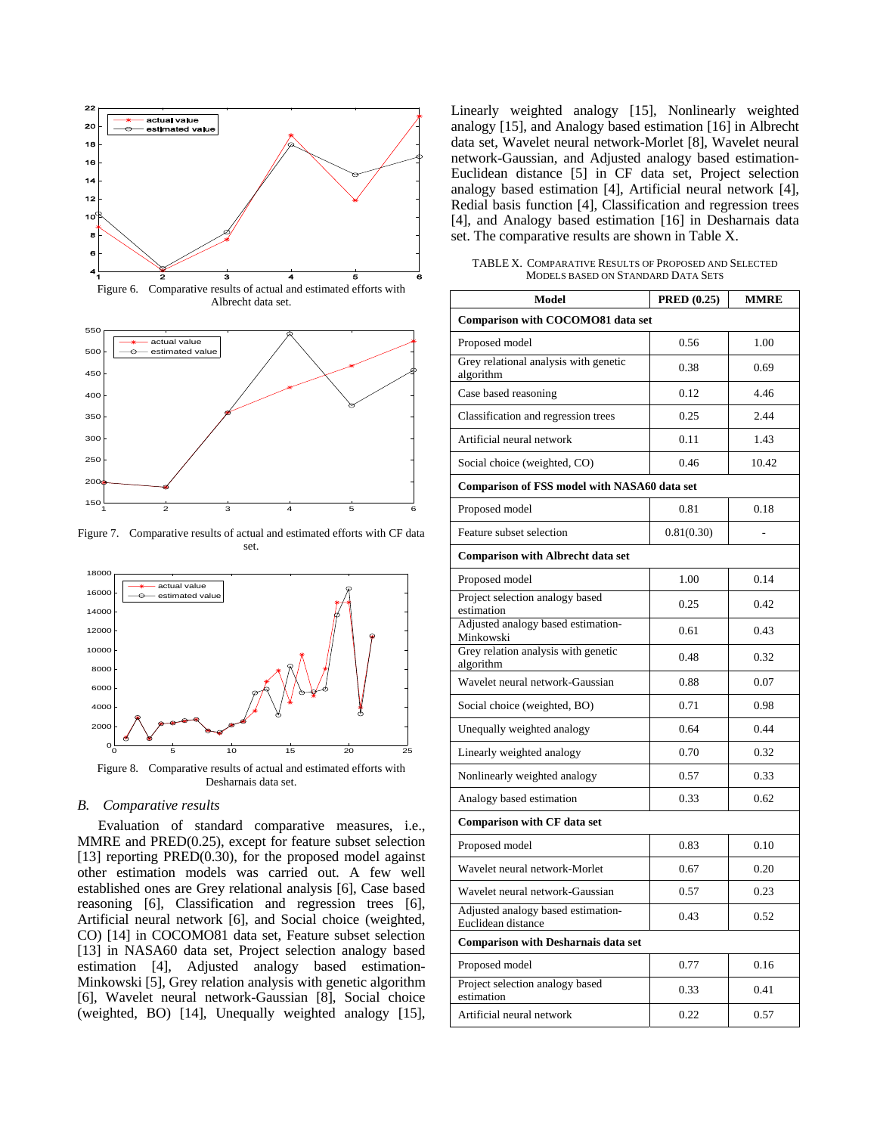

Figure 6. Comparative results of actual and estimated efforts with Albrecht data set.



Figure 7. Comparative results of actual and estimated efforts with CF data set.



Figure 8. Comparative results of actual and estimated efforts with Desharnais data set.

# *B. Comparative results*

Evaluation of standard comparative measures, i.e., MMRE and PRED(0.25), except for feature subset selection [13] reporting PRED(0.30), for the proposed model against other estimation models was carried out. A few well established ones are Grey relational analysis [6], Case based reasoning [6], Classification and regression trees [6], Artificial neural network [6], and Social choice (weighted, CO) [14] in COCOMO81 data set, Feature subset selection [13] in NASA60 data set, Project selection analogy based estimation [4], Adjusted analogy based estimation-Minkowski [5], Grey relation analysis with genetic algorithm [6], Wavelet neural network-Gaussian [8], Social choice (weighted, BO) [14], Unequally weighted analogy [15], Linearly weighted analogy [15], Nonlinearly weighted analogy [15], and Analogy based estimation [16] in Albrecht data set, Wavelet neural network-Morlet [8], Wavelet neural network-Gaussian, and Adjusted analogy based estimation-Euclidean distance [5] in CF data set, Project selection analogy based estimation [4], Artificial neural network [4], Redial basis function [4], Classification and regression trees [4], and Analogy based estimation [16] in Desharnais data set. The comparative results are shown in Table X.

TABLE X. COMPARATIVE RESULTS OF PROPOSED AND SELECTED MODELS BASED ON STANDARD DATA SETS

| Model                                                    | <b>PRED</b> (0.25) | <b>MMRE</b> |
|----------------------------------------------------------|--------------------|-------------|
| Comparison with COCOMO81 data set                        |                    |             |
| Proposed model                                           | 0.56               | 1.00        |
| Grey relational analysis with genetic<br>algorithm       | 0.38               | 0.69        |
| Case based reasoning                                     | 0.12               | 4.46        |
| Classification and regression trees                      | 0.25               | 2.44        |
| Artificial neural network                                | 0.11               | 1.43        |
| Social choice (weighted, CO)                             | 0.46               | 10.42       |
| <b>Comparison of FSS model with NASA60 data set</b>      |                    |             |
| Proposed model                                           | 0.81               | 0.18        |
| Feature subset selection                                 | 0.81(0.30)         |             |
| <b>Comparison with Albrecht data set</b>                 |                    |             |
| Proposed model                                           | 1.00               | 0.14        |
| Project selection analogy based<br>estimation            | 0.25               | 0.42        |
| Adjusted analogy based estimation-<br>Minkowski          | 0.61               | 0.43        |
| Grey relation analysis with genetic<br>algorithm         | 0.48               | 0.32        |
| Wavelet neural network-Gaussian                          | 0.88               | 0.07        |
| Social choice (weighted, BO)                             | 0.71               | 0.98        |
| Unequally weighted analogy                               | 0.64               | 0.44        |
| Linearly weighted analogy                                | 0.70               | 0.32        |
| Nonlinearly weighted analogy                             | 0.57               | 0.33        |
| Analogy based estimation                                 | 0.33               | 0.62        |
| <b>Comparison with CF data set</b>                       |                    |             |
| Proposed model                                           | 0.83               | 0.10        |
| Wavelet neural network-Morlet                            | 0.67               | 0.20        |
| Wavelet neural network-Gaussian                          | 0.57               | 0.23        |
| Adjusted analogy based estimation-<br>Euclidean distance | 0.43               | 0.52        |
| <b>Comparison with Desharnais data set</b>               |                    |             |
| Proposed model                                           | 0.77               | 0.16        |
| Project selection analogy based<br>estimation            | 0.33               | 0.41        |
| Artificial neural network                                | 0.22               | 0.57        |
|                                                          |                    |             |